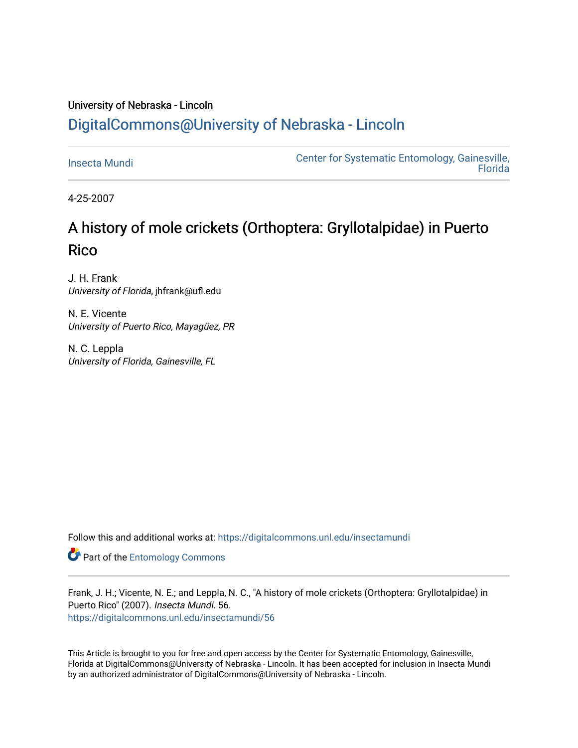# University of Nebraska - Lincoln [DigitalCommons@University of Nebraska - Lincoln](https://digitalcommons.unl.edu/)

[Insecta Mundi](https://digitalcommons.unl.edu/insectamundi) [Center for Systematic Entomology, Gainesville,](https://digitalcommons.unl.edu/centersystematicentomology)  **Florida** 

4-25-2007

# A history of mole crickets (Orthoptera: Gryllotalpidae) in Puerto **Rico**

J. H. Frank University of Florida, jhfrank@ufl.edu

N. E. Vicente University of Puerto Rico, Mayagüez, PR

N. C. Leppla University of Florida, Gainesville, FL

Follow this and additional works at: [https://digitalcommons.unl.edu/insectamundi](https://digitalcommons.unl.edu/insectamundi?utm_source=digitalcommons.unl.edu%2Finsectamundi%2F56&utm_medium=PDF&utm_campaign=PDFCoverPages) 

**Part of the Entomology Commons** 

Frank, J. H.; Vicente, N. E.; and Leppla, N. C., "A history of mole crickets (Orthoptera: Gryllotalpidae) in Puerto Rico" (2007). Insecta Mundi. 56. [https://digitalcommons.unl.edu/insectamundi/56](https://digitalcommons.unl.edu/insectamundi/56?utm_source=digitalcommons.unl.edu%2Finsectamundi%2F56&utm_medium=PDF&utm_campaign=PDFCoverPages)

This Article is brought to you for free and open access by the Center for Systematic Entomology, Gainesville, Florida at DigitalCommons@University of Nebraska - Lincoln. It has been accepted for inclusion in Insecta Mundi by an authorized administrator of DigitalCommons@University of Nebraska - Lincoln.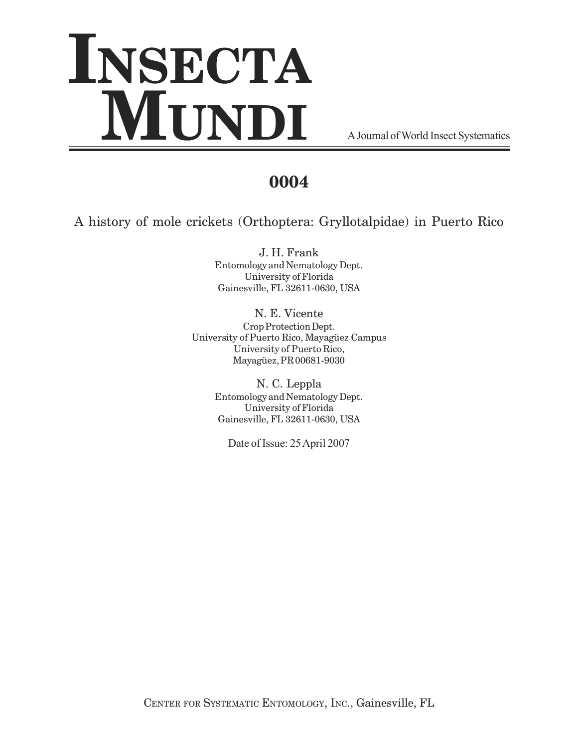# **INSECTA MUNDI** A Journal of World Insect Systematics

# **0004**

A history of mole crickets (Orthoptera: Gryllotalpidae) in Puerto Rico

J. H. Frank Entomology and Nematology Dept. University of Florida Gainesville, FL 32611-0630, USA

N. E. Vicente Crop Protection Dept. University of Puerto Rico, Mayagüez Campus University of Puerto Rico, Mayagüez, PR 00681-9030

> N. C. Leppla Entomology and Nematology Dept. University of Florida Gainesville, FL 32611-0630, USA

Date of Issue: 25 April 2007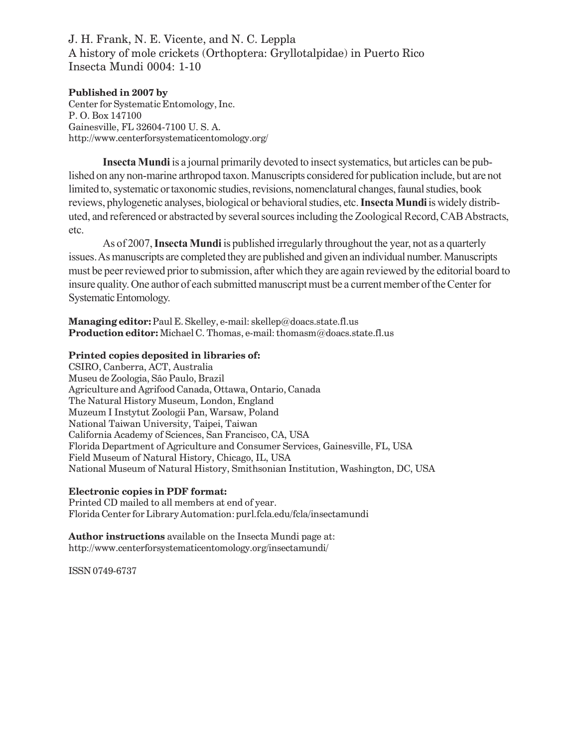## J. H. Frank, N. E. Vicente, and N. C. Leppla A history of mole crickets (Orthoptera: Gryllotalpidae) in Puerto Rico Insecta Mundi 0004: 1-10

**Published in 2007 by** Center for Systematic Entomology, Inc. P. O. Box 147100 Gainesville, FL 32604-7100 U. S. A. http://www.centerforsystematicentomology.org/

Insecta Mundi is a journal primarily devoted to insect systematics, but articles can be published on any non-marine arthropod taxon. Manuscripts considered for publication include, but are not limited to, systematic or taxonomic studies, revisions, nomenclatural changes, faunal studies, book reviews, phylogenetic analyses, biological or behavioral studies, etc. Insecta Mundi is widely distributed, and referenced or abstracted by several sources including the Zoological Record, CAB Abstracts, etc.

As of 2007, Insecta Mundi is published irregularly throughout the year, not as a quarterly issues. As manuscripts are completed they are published and given an individual number. Manuscripts must be peer reviewed prior to submission, after which they are again reviewed by the editorial board to insure quality. One author of each submitted manuscript must be a current member of the Center for Systematic Entomology.

**Managing editor:** Paul E. Skelley, e-mail: skellep@doacs.state.fl.us **Production editor:** Michael C. Thomas, e-mail: thomasm@doacs.state.fl.us

### **Printed copies deposited in libraries of:**

CSIRO, Canberra, ACT, Australia Museu de Zoologia, São Paulo, Brazil Agriculture and Agrifood Canada, Ottawa, Ontario, Canada The Natural History Museum, London, England Muzeum I Instytut Zoologii Pan, Warsaw, Poland National Taiwan University, Taipei, Taiwan California Academy of Sciences, San Francisco, CA, USA Florida Department of Agriculture and Consumer Services, Gainesville, FL, USA Field Museum of Natural History, Chicago, IL, USA National Museum of Natural History, Smithsonian Institution, Washington, DC, USA

## **Electronic copies in PDF format:**

Printed CD mailed to all members at end of year. Florida Center for Library Automation: purl.fcla.edu/fcla/insectamundi

**Author instructions** available on the Insecta Mundi page at: http://www.centerforsystematicentomology.org/insectamundi/

ISSN 0749-6737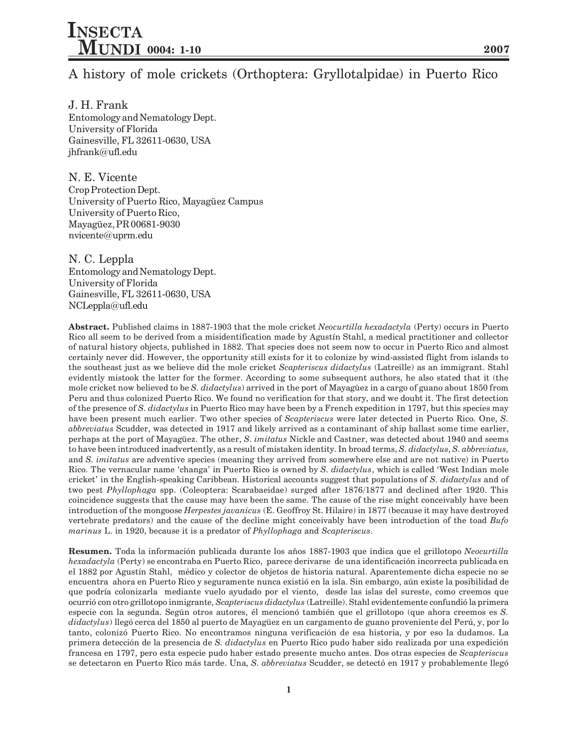## A history of mole crickets (Orthoptera: Gryllotalpidae) in Puerto Rico

J. H. Frank Entomology and Nematology Dept. University of Florida Gainesville, FL 32611-0630, USA jhfrank@ufl.edu

N. E. Vicente Crop Protection Dept. University of Puerto Rico, Mayagüez Campus University of Puerto Rico, Mayagüez, PR 00681-9030 nvicente@uprm.edu

N. C. Leppla Entomology and Nematology Dept. University of Florida Gainesville, FL 32611-0630, USA NCLeppla@ufl.edu

**Abstract.** Published claims in 1887-1903 that the mole cricket *Neocurtilla hexadactyla* (Perty) occurs in Puerto Rico all seem to be derived from a misidentification made by Agustín Stahl, a medical practitioner and collector of natural history objects, published in 1882. That species does not seem now to occur in Puerto Rico and almost certainly never did. However, the opportunity still exists for it to colonize by wind-assisted flight from islands to the southeast just as we believe did the mole cricket *Scapteriscus didactylus* (Latreille) as an immigrant. Stahl evidently mistook the latter for the former. According to some subsequent authors, he also stated that it (the mole cricket now believed to be *S. didactylus*) arrived in the port of Mayagüez in a cargo of guano about 1850 from Peru and thus colonized Puerto Rico. We found no verification for that story, and we doubt it. The first detection of the presence of *S. didactylus* in Puerto Rico may have been by a French expedition in 1797, but this species may have been present much earlier. Two other species of *Scapteriscus* were later detected in Puerto Rico. One, *S. abbreviatus* Scudder, was detected in 1917 and likely arrived as a contaminant of ship ballast some time earlier, perhaps at the port of Mayagüez. The other, *S. imitatus* Nickle and Castner, was detected about 1940 and seems to have been introduced inadvertently, as a result of mistaken identity. In broad terms, *S. didactylus, S. abbreviatus,* and *S. imitatus* are adventive species (meaning they arrived from somewhere else and are not native) in Puerto Rico. The vernacular name 'changa' in Puerto Rico is owned by *S. didactylus*, which is called 'West Indian mole cricket in the English-speaking Caribbean. Historical accounts suggest that populations of *S. didactylus* and of two pest *Phyllophaga* spp. (Coleoptera: Scarabaeidae) surged after 1876/1877 and declined after 1920. This coincidence suggests that the cause may have been the same. The cause of the rise might conceivably have been introduction of the mongoose *Herpestes javanicus* (E. Geoffroy St. Hilaire) in 1877 (because it may have destroyed vertebrate predators) and the cause of the decline might conceivably have been introduction of the toad *Bufo marinus* L. in 1920, because it is a predator of *Phyllophaga* and *Scapteriscus*.

**Resumen.** Toda la información publicada durante los años 1887-1903 que indica que el grillotopo *Neocurtilla hexadactyla* (Perty) se encontraba en Puerto Rico, parece derivarse de una identificación incorrecta publicada en el 1882 por Agustín Stahl, médico y colector de objetos de historia natural. Aparentemente dicha especie no se encuentra ahora en Puerto Rico y seguramente nunca existió en la isla. Sin embargo, aún existe la posibilidad de que podría colonizarla mediante vuelo ayudado por el viento, desde las islas del sureste, como creemos que ocurrió con otro grillotopo inmigrante, *Scapteriscus didactylus* (Latreille). Stahl evidentemente confundió la primera especie con la segunda. Según otros autores, él mencionó también que el grillotopo (que ahora creemos es *S. didactylus*) llegó cerca del 1850 al puerto de Mayagüez en un cargamento de guano proveniente del Perú, y, por lo tanto, colonizó Puerto Rico. No encontramos ninguna verificación de esa historia, y por eso la dudamos. La primera detección de la presencia de *S. didactylus* en Puerto Rico pudo haber sido realizada por una expedición francesa en 1797, pero esta especie pudo haber estado presente mucho antes. Dos otras especies de *Scapteriscus* se detectaron en Puerto Rico más tarde. Una, *S. abbreviatus* Scudder, se detectó en 1917 y probablemente llegó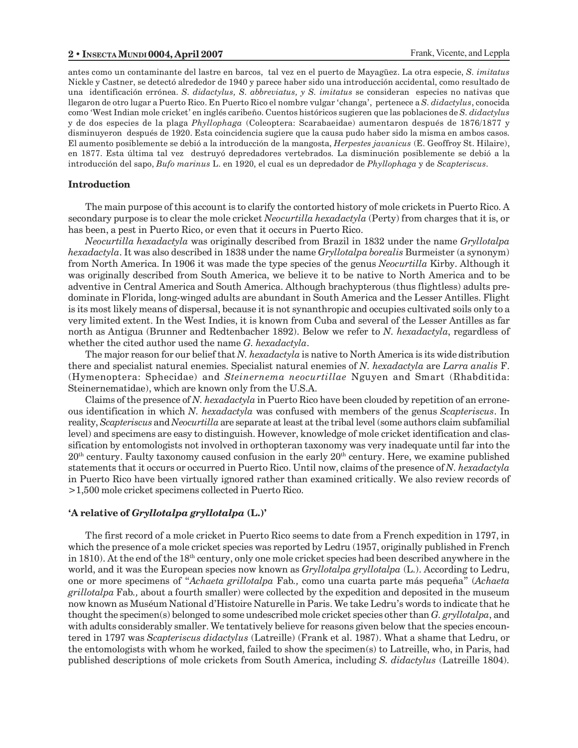antes como un contaminante del lastre en barcos, tal vez en el puerto de Mayagüez. La otra especie, *S. imitatus* Nickle y Castner, se detectó alrededor de 1940 y parece haber sido una introducción accidental, como resultado de una identificación errónea. *S. didactylus, S. abbreviatus, y S. imitatus* se consideran especies no nativas que llegaron de otro lugar a Puerto Rico. En Puerto Rico el nombre vulgar changa, pertenece a *S. didactylus*, conocida como 'West Indian mole cricket' en inglés caribeño. Cuentos históricos sugieren que las poblaciones de *S. didactylus* y de dos especies de la plaga *Phyllophaga* (Coleoptera: Scarabaeidae) aumentaron después de 1876/1877 y disminuyeron después de 1920. Esta coincidencia sugiere que la causa pudo haber sido la misma en ambos casos. El aumento posiblemente se debió a la introducción de la mangosta, *Herpestes javanicus* (E. Geoffroy St. Hilaire), en 1877. Esta última tal vez destruyó depredadores vertebrados. La disminución posiblemente se debió a la introducción del sapo, *Bufo marinus* L. en 1920, el cual es un depredador de *Phyllophaga* y de *Scapteriscus*.

#### **Introduction**

The main purpose of this account is to clarify the contorted history of mole crickets in Puerto Rico. A secondary purpose is to clear the mole cricket *Neocurtilla hexadactyla* (Perty) from charges that it is, or has been, a pest in Puerto Rico, or even that it occurs in Puerto Rico.

*Neocurtilla hexadactyla* was originally described from Brazil in 1832 under the name *Gryllotalpa hexadactyla*. It was also described in 1838 under the name *Gryllotalpa borealis* Burmeister (a synonym) from North America. In 1906 it was made the type species of the genus *Neocurtilla* Kirby. Although it was originally described from South America, we believe it to be native to North America and to be adventive in Central America and South America. Although brachypterous (thus flightless) adults predominate in Florida, long-winged adults are abundant in South America and the Lesser Antilles. Flight is its most likely means of dispersal, because it is not synanthropic and occupies cultivated soils only to a very limited extent. In the West Indies, it is known from Cuba and several of the Lesser Antilles as far north as Antigua (Brunner and Redtenbacher 1892). Below we refer to *N. hexadactyla*, regardless of whether the cited author used the name *G. hexadactyla*.

The major reason for our belief that *N. hexadactyla* is native to North America is its wide distribution there and specialist natural enemies. Specialist natural enemies of *N. hexadactyla* are *Larra analis* F. (Hymenoptera: Sphecidae) and *Steinernema neocurtillae* Nguyen and Smart (Rhabditida: Steinernematidae), which are known only from the U.S.A.

Claims of the presence of *N. hexadactyla* in Puerto Rico have been clouded by repetition of an erroneous identification in which *N. hexadactyla* was confused with members of the genus *Scapteriscus*. In reality, *Scapteriscus* and *Neocurtilla* are separate at least at the tribal level (some authors claim subfamilial level) and specimens are easy to distinguish. However, knowledge of mole cricket identification and classification by entomologists not involved in orthopteran taxonomy was very inadequate until far into the  $20<sup>th</sup>$  century. Faulty taxonomy caused confusion in the early  $20<sup>th</sup>$  century. Here, we examine published statements that it occurs or occurred in Puerto Rico. Until now, claims of the presence of *N. hexadactyla* in Puerto Rico have been virtually ignored rather than examined critically. We also review records of >1,500 mole cricket specimens collected in Puerto Rico.

#### **A relative of** *Gryllotalpa gryllotalpa* **(L.)**

The first record of a mole cricket in Puerto Rico seems to date from a French expedition in 1797, in which the presence of a mole cricket species was reported by Ledru (1957, originally published in French in 1810). At the end of the  $18<sup>th</sup>$  century, only one mole cricket species had been described anywhere in the world, and it was the European species now known as *Gryllotalpa gryllotalpa* (L.). According to Ledru, one or more specimens of *Achaeta grillotalpa* Fab*.,* como una cuarta parte más pequeña (*Achaeta grillotalpa* Fab*.,* about a fourth smaller) were collected by the expedition and deposited in the museum now known as Muséum National d'Histoire Naturelle in Paris. We take Ledru's words to indicate that he thought the specimen(s) belonged to some undescribed mole cricket species other than *G. gryllotalpa*, and with adults considerably smaller. We tentatively believe for reasons given below that the species encountered in 1797 was *Scapteriscus didactylus* (Latreille) (Frank et al. 1987). What a shame that Ledru, or the entomologists with whom he worked, failed to show the specimen(s) to Latreille, who, in Paris, had published descriptions of mole crickets from South America, including *S. didactylus* (Latreille 1804)*.*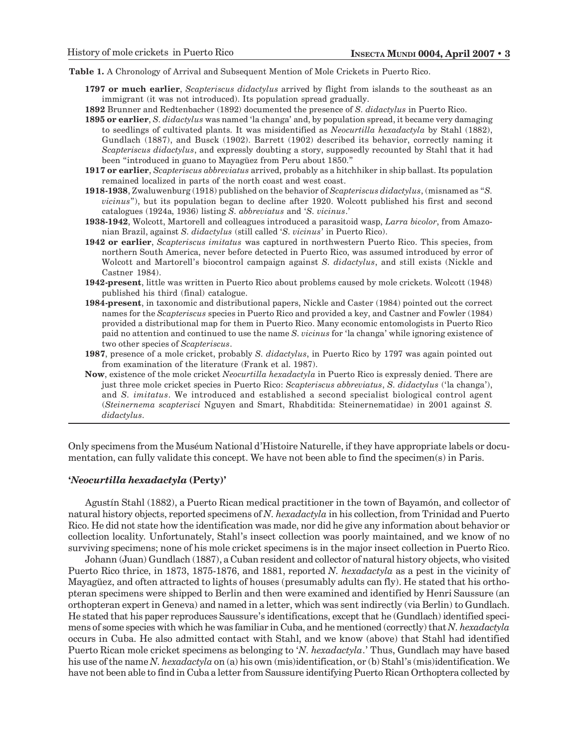**Table 1.** A Chronology of Arrival and Subsequent Mention of Mole Crickets in Puerto Rico.

- **1797 or much earlier**, *Scapteriscus didactylus* arrived by flight from islands to the southeast as an immigrant (it was not introduced). Its population spread gradually.
- **1892** Brunner and Redtenbacher (1892) documented the presence of *S. didactylus* in Puerto Rico.
- **1895 or earlier**, *S. didactylus* was named 'la changa' and, by population spread, it became very damaging to seedlings of cultivated plants. It was misidentified as *Neocurtilla hexadactyla* by Stahl (1882), Gundlach (1887), and Busck (1902). Barrett (1902) described its behavior, correctly naming it *Scapteriscus didactylus*, and expressly doubting a story, supposedly recounted by Stahl that it had been "introduced in guano to Mayagüez from Peru about 1850."
- **1917 or earlier**, *Scapteriscus abbreviatus* arrived, probably as a hitchhiker in ship ballast. Its population remained localized in parts of the north coast and west coast.
- **1918-1938**, Zwaluwenburg (1918) published on the behavior of *Scapteriscus didactylus*, (misnamed as *S. vicinus*), but its population began to decline after 1920. Wolcott published his first and second catalogues (1924a, 1936) listing *S. abbreviatus* and *S. vicinus*.
- **1938-1942**, Wolcott, Martorell and colleagues introduced a parasitoid wasp, *Larra bicolor*, from Amazonian Brazil, against *S. didactylus* (still called *S. vicinus* in Puerto Rico).
- **1942 or earlier**, *Scapteriscus imitatus* was captured in northwestern Puerto Rico. This species, from northern South America, never before detected in Puerto Rico, was assumed introduced by error of Wolcott and Martorell's biocontrol campaign against *S. didactylus*, and still exists (Nickle and Castner 1984).
- **1942-present**, little was written in Puerto Rico about problems caused by mole crickets. Wolcott (1948) published his third (final) catalogue.
- **1984-present**, in taxonomic and distributional papers, Nickle and Caster (1984) pointed out the correct names for the *Scapteriscus* species in Puerto Rico and provided a key, and Castner and Fowler (1984) provided a distributional map for them in Puerto Rico. Many economic entomologists in Puerto Rico paid no attention and continued to use the name *S. vicinus* for 'la changa' while ignoring existence of two other species of *Scapteriscus*.
- **1987**, presence of a mole cricket, probably *S. didactylus*, in Puerto Rico by 1797 was again pointed out from examination of the literature (Frank et al. 1987).
- **Now**, existence of the mole cricket *Neocurtilla hexadactyla* in Puerto Rico is expressly denied. There are just three mole cricket species in Puerto Rico: *Scapteriscus abbreviatus*, *S. didactylus* (la changa), and *S. imitatus*. We introduced and established a second specialist biological control agent (*Steinernema scapterisci* Nguyen and Smart, Rhabditida: Steinernematidae) in 2001 against *S. didactylus*.

Only specimens from the Muséum National d'Histoire Naturelle, if they have appropriate labels or documentation, can fully validate this concept. We have not been able to find the specimen(s) in Paris.

#### *Neocurtilla hexadactyla* **(Perty)**

Agustín Stahl (1882), a Puerto Rican medical practitioner in the town of Bayamón, and collector of natural history objects, reported specimens of *N. hexadactyla* in his collection, from Trinidad and Puerto Rico. He did not state how the identification was made, nor did he give any information about behavior or collection locality. Unfortunately, Stahl's insect collection was poorly maintained, and we know of no surviving specimens; none of his mole cricket specimens is in the major insect collection in Puerto Rico.

Johann (Juan) Gundlach (1887), a Cuban resident and collector of natural history objects, who visited Puerto Rico thrice, in 1873, 1875-1876, and 1881, reported *N. hexadactyla* as a pest in the vicinity of Mayagüez, and often attracted to lights of houses (presumably adults can fly). He stated that his orthopteran specimens were shipped to Berlin and then were examined and identified by Henri Saussure (an orthopteran expert in Geneva) and named in a letter, which was sent indirectly (via Berlin) to Gundlach. He stated that his paper reproduces Saussure's identifications, except that he (Gundlach) identified specimens of some species with which he was familiar in Cuba, and he mentioned (correctly) that *N. hexadactyla* occurs in Cuba. He also admitted contact with Stahl, and we know (above) that Stahl had identified Puerto Rican mole cricket specimens as belonging to *N. hexadactyla*. Thus, Gundlach may have based his use of the name *N. hexadactyla* on (a) his own (mis)identification, or (b) Stahl's (mis)identification. We have not been able to find in Cuba a letter from Saussure identifying Puerto Rican Orthoptera collected by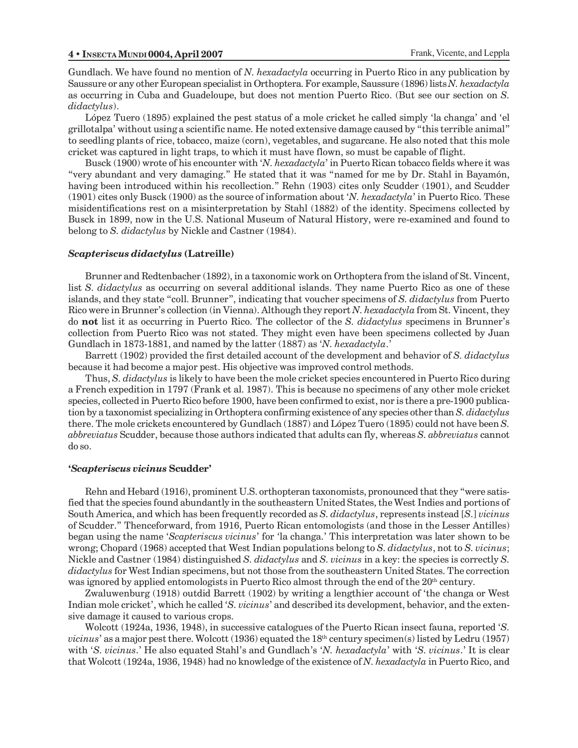Gundlach. We have found no mention of *N. hexadactyla* occurring in Puerto Rico in any publication by Saussure or any other European specialist in Orthoptera. For example, Saussure (1896) lists *N. hexadactyla* as occurring in Cuba and Guadeloupe, but does not mention Puerto Rico. (But see our section on *S. didactylus*).

López Tuero (1895) explained the pest status of a mole cricket he called simply 'la changa' and 'el grillotalpa' without using a scientific name. He noted extensive damage caused by "this terrible animal" to seedling plants of rice, tobacco, maize (corn), vegetables, and sugarcane. He also noted that this mole cricket was captured in light traps, to which it must have flown, so must be capable of flight.

Busck (1900) wrote of his encounter with *N. hexadactyla* in Puerto Rican tobacco fields where it was "very abundant and very damaging." He stated that it was "named for me by Dr. Stahl in Bayamón, having been introduced within his recollection." Rehn (1903) cites only Scudder (1901), and Scudder (1901) cites only Busck (1900) as the source of information about *N. hexadactyla* in Puerto Rico. These misidentifications rest on a misinterpretation by Stahl (1882) of the identity. Specimens collected by Busck in 1899, now in the U.S. National Museum of Natural History, were re-examined and found to belong to *S. didactylus* by Nickle and Castner (1984).

#### *Scapteriscus didactylus* **(Latreille)**

Brunner and Redtenbacher (1892), in a taxonomic work on Orthoptera from the island of St. Vincent, list *S. didactylus* as occurring on several additional islands. They name Puerto Rico as one of these islands, and they state "coll. Brunner", indicating that voucher specimens of *S. didactylus* from Puerto Rico were in Brunner's collection (in Vienna). Although they report *N. hexadactyla* from St. Vincent, they do **not** list it as occurring in Puerto Rico. The collector of the *S. didactylus* specimens in Brunner's collection from Puerto Rico was not stated. They might even have been specimens collected by Juan Gundlach in 1873-1881, and named by the latter (1887) as *N. hexadactyla*.

Barrett (1902) provided the first detailed account of the development and behavior of *S. didactylus* because it had become a major pest. His objective was improved control methods.

Thus, *S. didactylus* is likely to have been the mole cricket species encountered in Puerto Rico during a French expedition in 1797 (Frank et al. 1987). This is because no specimens of any other mole cricket species, collected in Puerto Rico before 1900, have been confirmed to exist, nor is there a pre-1900 publication by a taxonomist specializing in Orthoptera confirming existence of any species other than *S. didactylus* there. The mole crickets encountered by Gundlach (1887) and López Tuero (1895) could not have been *S. abbreviatus* Scudder, because those authors indicated that adults can fly, whereas *S. abbreviatus* cannot do so.

#### *Scapteriscus vicinus* **Scudder**

Rehn and Hebard (1916), prominent U.S. orthopteran taxonomists, pronounced that they "were satisfied that the species found abundantly in the southeastern United States, the West Indies and portions of South America, and which has been frequently recorded as *S. didactylus*, represents instead [*S*.] *vicinus* of Scudder. Thenceforward, from 1916, Puerto Rican entomologists (and those in the Lesser Antilles) began using the name *Scapteriscus vicinus* for la changa. This interpretation was later shown to be wrong; Chopard (1968) accepted that West Indian populations belong to *S. didactylus*, not to *S. vicinus*; Nickle and Castner (1984) distinguished *S. didactylus* and *S. vicinus* in a key: the species is correctly *S. didactylus* for West Indian specimens, but not those from the southeastern United States. The correction was ignored by applied entomologists in Puerto Rico almost through the end of the 20<sup>th</sup> century.

Zwaluwenburg (1918) outdid Barrett (1902) by writing a lengthier account of the changa or West Indian mole cricket', which he called *'S. vicinus'* and described its development, behavior, and the extensive damage it caused to various crops.

Wolcott (1924a, 1936, 1948), in successive catalogues of the Puerto Rican insect fauna, reported *S. vicinus*' as a major pest there. Wolcott (1936) equated the 18<sup>th</sup> century specimen(s) listed by Ledru (1957) with *'S. vicinus*.' He also equated Stahl's and Gundlach's *'N. hexadactyla'* with *'S. vicinus*.' It is clear that Wolcott (1924a, 1936, 1948) had no knowledge of the existence of *N. hexadactyla* in Puerto Rico, and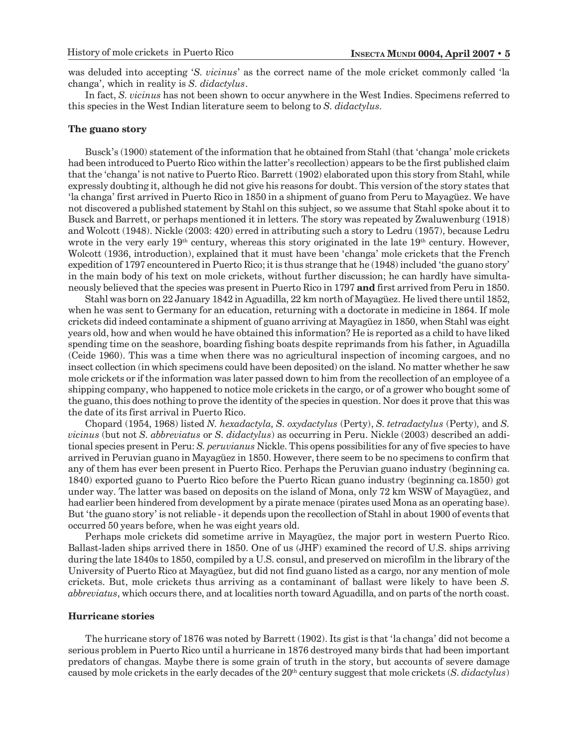was deluded into accepting *'S. vicinus'* as the correct name of the mole cricket commonly called 'la changa, which in reality is *S. didactylus*.

In fact, *S. vicinus* has not been shown to occur anywhere in the West Indies. Specimens referred to this species in the West Indian literature seem to belong to *S. didactylus.*

#### **The guano story**

Busck's (1900) statement of the information that he obtained from Stahl (that 'changa' mole crickets had been introduced to Puerto Rico within the latter's recollection) appears to be the first published claim that the changa is not native to Puerto Rico. Barrett (1902) elaborated upon this story from Stahl, while expressly doubting it, although he did not give his reasons for doubt. This version of the story states that 'la changa' first arrived in Puerto Rico in 1850 in a shipment of guano from Peru to Mayagüez. We have not discovered a published statement by Stahl on this subject, so we assume that Stahl spoke about it to Busck and Barrett, or perhaps mentioned it in letters. The story was repeated by Zwaluwenburg (1918) and Wolcott (1948). Nickle (2003: 420) erred in attributing such a story to Ledru (1957), because Ledru wrote in the very early  $19<sup>th</sup>$  century, whereas this story originated in the late  $19<sup>th</sup>$  century. However, Wolcott (1936, introduction), explained that it must have been 'changa' mole crickets that the French expedition of 1797 encountered in Puerto Rico; it is thus strange that he (1948) included 'the guano story' in the main body of his text on mole crickets, without further discussion; he can hardly have simultaneously believed that the species was present in Puerto Rico in 1797 **and** first arrived from Peru in 1850.

Stahl was born on 22 January 1842 in Aguadilla, 22 km north of Mayagüez. He lived there until 1852, when he was sent to Germany for an education, returning with a doctorate in medicine in 1864. If mole crickets did indeed contaminate a shipment of guano arriving at Mayagüez in 1850, when Stahl was eight years old, how and when would he have obtained this information? He is reported as a child to have liked spending time on the seashore, boarding fishing boats despite reprimands from his father, in Aguadilla (Ceide 1960). This was a time when there was no agricultural inspection of incoming cargoes, and no insect collection (in which specimens could have been deposited) on the island. No matter whether he saw mole crickets or if the information was later passed down to him from the recollection of an employee of a shipping company, who happened to notice mole crickets in the cargo, or of a grower who bought some of the guano, this does nothing to prove the identity of the species in question. Nor does it prove that this was the date of its first arrival in Puerto Rico.

Chopard (1954, 1968) listed *N. hexadactyla, S. oxydactylus* (Perty), *S. tetradactylus* (Perty)*,* and *S. vicinus* (but not *S. abbreviatus* or *S. didactylus*) as occurring in Peru. Nickle (2003) described an additional species present in Peru: *S. peruvianus* Nickle. This opens possibilities for any of five species to have arrived in Peruvian guano in Mayagüez in 1850. However, there seem to be no specimens to confirm that any of them has ever been present in Puerto Rico. Perhaps the Peruvian guano industry (beginning ca. 1840) exported guano to Puerto Rico before the Puerto Rican guano industry (beginning ca.1850) got under way. The latter was based on deposits on the island of Mona, only 72 km WSW of Mayagüez, and had earlier been hindered from development by a pirate menace (pirates used Mona as an operating base). But 'the guano story' is not reliable - it depends upon the recollection of Stahl in about 1900 of events that occurred 50 years before, when he was eight years old.

Perhaps mole crickets did sometime arrive in Mayagüez, the major port in western Puerto Rico. Ballast-laden ships arrived there in 1850. One of us (JHF) examined the record of U.S. ships arriving during the late 1840s to 1850, compiled by a U.S. consul, and preserved on microfilm in the library of the University of Puerto Rico at Mayagüez, but did not find guano listed as a cargo, nor any mention of mole crickets. But, mole crickets thus arriving as a contaminant of ballast were likely to have been *S. abbreviatus*, which occurs there, and at localities north toward Aguadilla, and on parts of the north coast.

#### **Hurricane stories**

The hurricane story of 1876 was noted by Barrett (1902). Its gist is that 'la changa' did not become a serious problem in Puerto Rico until a hurricane in 1876 destroyed many birds that had been important predators of changas. Maybe there is some grain of truth in the story, but accounts of severe damage caused by mole crickets in the early decades of the 20<sup>th</sup> century suggest that mole crickets (*S. didactylus*)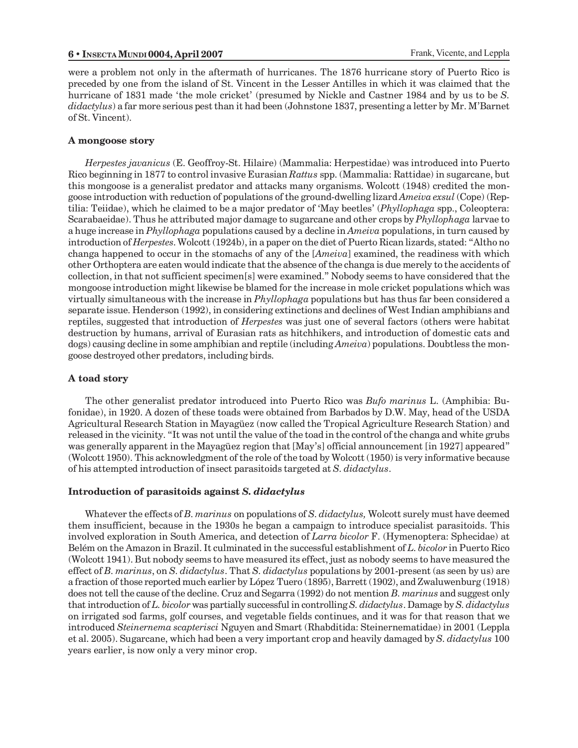were a problem not only in the aftermath of hurricanes. The 1876 hurricane story of Puerto Rico is preceded by one from the island of St. Vincent in the Lesser Antilles in which it was claimed that the hurricane of 1831 made 'the mole cricket' (presumed by Nickle and Castner 1984 and by us to be *S*. *didactylus*) a far more serious pest than it had been (Johnstone 1837, presenting a letter by Mr. M'Barnet of St. Vincent).

#### **A mongoose story**

*Herpestes javanicus* (E. Geoffroy-St. Hilaire) (Mammalia: Herpestidae) was introduced into Puerto Rico beginning in 1877 to control invasive Eurasian *Rattus* spp. (Mammalia: Rattidae) in sugarcane, but this mongoose is a generalist predator and attacks many organisms. Wolcott (1948) credited the mongoose introduction with reduction of populations of the ground-dwelling lizard *Ameiva exsul* (Cope) (Reptilia: Teiidae), which he claimed to be a major predator of May beetles (*Phyllophaga* spp., Coleoptera: Scarabaeidae). Thus he attributed major damage to sugarcane and other crops by *Phyllophaga* larvae to a huge increase in *Phyllophaga* populations caused by a decline in *Ameiva* populations, in turn caused by introduction of *Herpestes*. Wolcott (1924b), in a paper on the diet of Puerto Rican lizards, stated: "Altho no changa happened to occur in the stomachs of any of the [*Ameiva*] examined, the readiness with which other Orthoptera are eaten would indicate that the absence of the changa is due merely to the accidents of collection, in that not sufficient specimen[s] were examined. Nobody seems to have considered that the mongoose introduction might likewise be blamed for the increase in mole cricket populations which was virtually simultaneous with the increase in *Phyllophaga* populations but has thus far been considered a separate issue. Henderson (1992), in considering extinctions and declines of West Indian amphibians and reptiles, suggested that introduction of *Herpestes* was just one of several factors (others were habitat destruction by humans, arrival of Eurasian rats as hitchhikers, and introduction of domestic cats and dogs) causing decline in some amphibian and reptile (including *Ameiva*) populations. Doubtless the mongoose destroyed other predators, including birds.

#### **A toad story**

The other generalist predator introduced into Puerto Rico was *Bufo marinus* L. (Amphibia: Bufonidae), in 1920. A dozen of these toads were obtained from Barbados by D.W. May, head of the USDA Agricultural Research Station in Mayagüez (now called the Tropical Agriculture Research Station) and released in the vicinity. "It was not until the value of the toad in the control of the changa and white grubs was generally apparent in the Mayagüez region that [May's] official announcement [in 1927] appeared" (Wolcott 1950). This acknowledgment of the role of the toad by Wolcott (1950) is very informative because of his attempted introduction of insect parasitoids targeted at *S. didactylus*.

#### **Introduction of parasitoids against** *S. didactylus*

Whatever the effects of *B. marinus* on populations of *S. didactylus,* Wolcott surely must have deemed them insufficient, because in the 1930s he began a campaign to introduce specialist parasitoids. This involved exploration in South America, and detection of *Larra bicolor* F. (Hymenoptera: Sphecidae) at Belém on the Amazon in Brazil. It culminated in the successful establishment of *L. bicolor* in Puerto Rico (Wolcott 1941). But nobody seems to have measured its effect, just as nobody seems to have measured the effect of *B. marinus*, on *S. didactylus*. That *S. didactylus* populations by 2001-present (as seen by us) are a fraction of those reported much earlier by López Tuero (1895), Barrett (1902), and Zwaluwenburg (1918) does not tell the cause of the decline. Cruz and Segarra (1992) do not mention *B. marinus* and suggest only that introduction of *L. bicolor* was partially successful in controlling *S. didactylus*. Damage by *S. didactylus* on irrigated sod farms, golf courses, and vegetable fields continues, and it was for that reason that we introduced *Steinernema scapterisci* Nguyen and Smart (Rhabditida: Steinernematidae) in 2001 (Leppla et al. 2005). Sugarcane, which had been a very important crop and heavily damaged by *S. didactylus* 100 years earlier, is now only a very minor crop.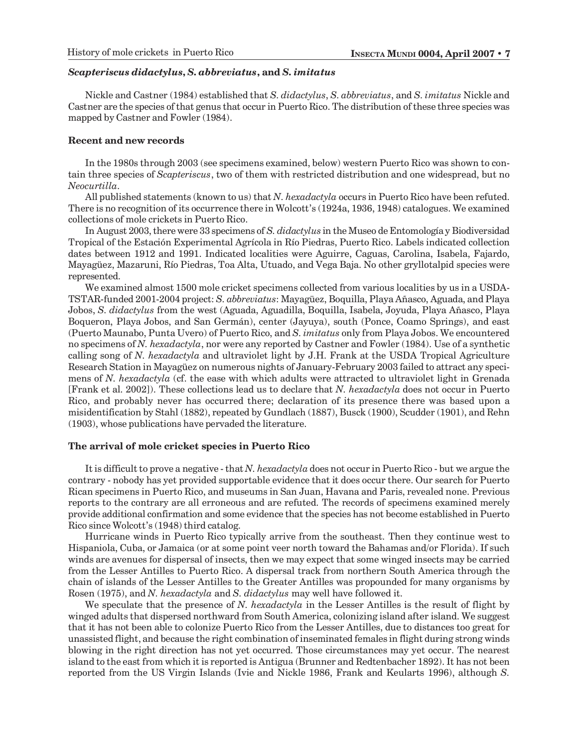#### *Scapteriscus didactylus***,** *S. abbreviatus***, and** *S. imitatus*

Nickle and Castner (1984) established that *S. didactylus*, *S. abbreviatus*, and *S. imitatus* Nickle and Castner are the species of that genus that occur in Puerto Rico. The distribution of these three species was mapped by Castner and Fowler (1984).

#### **Recent and new records**

In the 1980s through 2003 (see specimens examined, below) western Puerto Rico was shown to contain three species of *Scapteriscus*, two of them with restricted distribution and one widespread, but no *Neocurtilla*.

All published statements (known to us) that *N. hexadactyla* occurs in Puerto Rico have been refuted. There is no recognition of its occurrence there in Wolcott's (1924a, 1936, 1948) catalogues. We examined collections of mole crickets in Puerto Rico.

In August 2003, there were 33 specimens of *S. didactylus* in the Museo de Entomología y Biodiversidad Tropical of the Estación Experimental Agrícola in Río Piedras, Puerto Rico. Labels indicated collection dates between 1912 and 1991. Indicated localities were Aguirre, Caguas, Carolina, Isabela, Fajardo, Mayagüez, Mazaruni, Río Piedras, Toa Alta, Utuado, and Vega Baja. No other gryllotalpid species were represented.

We examined almost 1500 mole cricket specimens collected from various localities by us in a USDA-TSTAR-funded 2001-2004 project: *S. abbreviatus*: Mayagüez, Boquilla, Playa Añasco, Aguada, and Playa Jobos, *S. didactylus* from the west (Aguada, Aguadilla, Boquilla, Isabela, Joyuda, Playa Añasco, Playa Boqueron, Playa Jobos, and San Germán), center (Jayuya), south (Ponce, Coamo Springs), and east (Puerto Maunabo, Punta Uvero) of Puerto Rico, and *S. imitatus* only from Playa Jobos. We encountered no specimens of *N. hexadactyla*, nor were any reported by Castner and Fowler (1984). Use of a synthetic calling song of *N. hexadactyla* and ultraviolet light by J.H. Frank at the USDA Tropical Agriculture Research Station in Mayagüez on numerous nights of January-February 2003 failed to attract any specimens of *N. hexadactyla* (cf. the ease with which adults were attracted to ultraviolet light in Grenada [Frank et al. 2002]). These collections lead us to declare that *N. hexadactyla* does not occur in Puerto Rico, and probably never has occurred there; declaration of its presence there was based upon a misidentification by Stahl (1882), repeated by Gundlach (1887), Busck (1900), Scudder (1901), and Rehn (1903), whose publications have pervaded the literature.

#### **The arrival of mole cricket species in Puerto Rico**

It is difficult to prove a negative - that *N. hexadactyla* does not occur in Puerto Rico - but we argue the contrary - nobody has yet provided supportable evidence that it does occur there. Our search for Puerto Rican specimens in Puerto Rico, and museums in San Juan, Havana and Paris, revealed none. Previous reports to the contrary are all erroneous and are refuted. The records of specimens examined merely provide additional confirmation and some evidence that the species has not become established in Puerto Rico since Wolcott's (1948) third catalog.

Hurricane winds in Puerto Rico typically arrive from the southeast. Then they continue west to Hispaniola, Cuba, or Jamaica (or at some point veer north toward the Bahamas and/or Florida). If such winds are avenues for dispersal of insects, then we may expect that some winged insects may be carried from the Lesser Antilles to Puerto Rico. A dispersal track from northern South America through the chain of islands of the Lesser Antilles to the Greater Antilles was propounded for many organisms by Rosen (1975), and *N. hexadactyla* and *S. didactylus* may well have followed it.

We speculate that the presence of *N. hexadactyla* in the Lesser Antilles is the result of flight by winged adults that dispersed northward from South America, colonizing island after island. We suggest that it has not been able to colonize Puerto Rico from the Lesser Antilles, due to distances too great for unassisted flight, and because the right combination of inseminated females in flight during strong winds blowing in the right direction has not yet occurred. Those circumstances may yet occur. The nearest island to the east from which it is reported is Antigua (Brunner and Redtenbacher 1892). It has not been reported from the US Virgin Islands (Ivie and Nickle 1986, Frank and Keularts 1996), although *S.*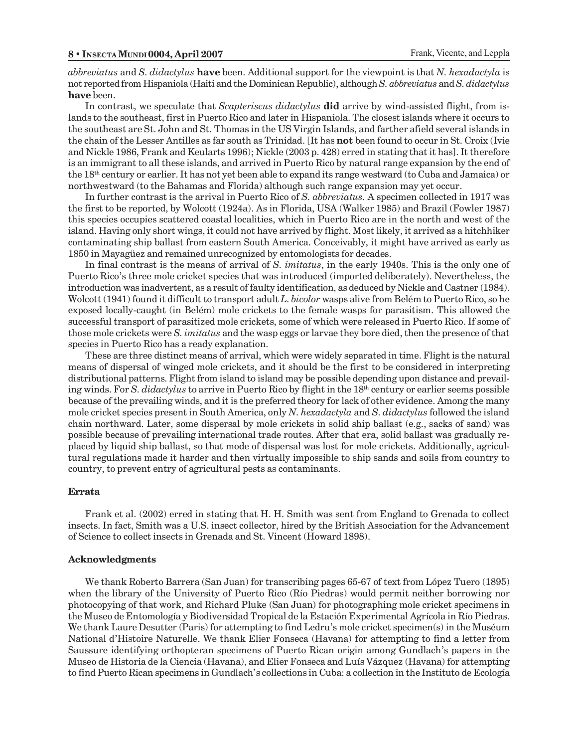*abbreviatus* and *S. didactylus* **have** been. Additional support for the viewpoint is that *N. hexadactyla* is not reported from Hispaniola (Haiti and the Dominican Republic), although *S. abbreviatus* and *S. didactylus* **have** been.

In contrast, we speculate that *Scapteriscus didactylus* **did** arrive by wind-assisted flight, from islands to the southeast, first in Puerto Rico and later in Hispaniola. The closest islands where it occurs to the southeast are St. John and St. Thomas in the US Virgin Islands, and farther afield several islands in the chain of the Lesser Antilles as far south as Trinidad. [It has **not** been found to occur in St. Croix (Ivie and Nickle 1986, Frank and Keularts 1996); Nickle (2003 p. 428) erred in stating that it has]. It therefore is an immigrant to all these islands, and arrived in Puerto Rico by natural range expansion by the end of the 18th century or earlier. It has not yet been able to expand its range westward (to Cuba and Jamaica) or northwestward (to the Bahamas and Florida) although such range expansion may yet occur.

In further contrast is the arrival in Puerto Rico of *S. abbreviatus.* A specimen collected in 1917 was the first to be reported, by Wolcott (1924a). As in Florida, USA (Walker 1985) and Brazil (Fowler 1987) this species occupies scattered coastal localities, which in Puerto Rico are in the north and west of the island. Having only short wings, it could not have arrived by flight. Most likely, it arrived as a hitchhiker contaminating ship ballast from eastern South America. Conceivably, it might have arrived as early as 1850 in Mayagüez and remained unrecognized by entomologists for decades.

In final contrast is the means of arrival of *S. imitatus*, in the early 1940s. This is the only one of Puerto Rico's three mole cricket species that was introduced (imported deliberately). Nevertheless, the introduction was inadvertent, as a result of faulty identification, as deduced by Nickle and Castner (1984). Wolcott (1941) found it difficult to transport adult *L. bicolor* wasps alive from Belém to Puerto Rico, so he exposed locally-caught (in Belém) mole crickets to the female wasps for parasitism. This allowed the successful transport of parasitized mole crickets, some of which were released in Puerto Rico. If some of those mole crickets were *S. imitatus* and the wasp eggs or larvae they bore died, then the presence of that species in Puerto Rico has a ready explanation.

These are three distinct means of arrival, which were widely separated in time. Flight is the natural means of dispersal of winged mole crickets, and it should be the first to be considered in interpreting distributional patterns. Flight from island to island may be possible depending upon distance and prevailing winds. For *S. didactylus* to arrive in Puerto Rico by flight in the 18<sup>th</sup> century or earlier seems possible because of the prevailing winds, and it is the preferred theory for lack of other evidence. Among the many mole cricket species present in South America, only *N. hexadactyla* and *S. didactylus* followed the island chain northward. Later, some dispersal by mole crickets in solid ship ballast (e.g., sacks of sand) was possible because of prevailing international trade routes. After that era, solid ballast was gradually replaced by liquid ship ballast, so that mode of dispersal was lost for mole crickets. Additionally, agricultural regulations made it harder and then virtually impossible to ship sands and soils from country to country, to prevent entry of agricultural pests as contaminants.

#### **Errata**

Frank et al. (2002) erred in stating that H. H. Smith was sent from England to Grenada to collect insects. In fact, Smith was a U.S. insect collector, hired by the British Association for the Advancement of Science to collect insects in Grenada and St. Vincent (Howard 1898).

#### **Acknowledgments**

We thank Roberto Barrera (San Juan) for transcribing pages 65-67 of text from López Tuero (1895) when the library of the University of Puerto Rico (Río Piedras) would permit neither borrowing nor photocopying of that work, and Richard Pluke (San Juan) for photographing mole cricket specimens in the Museo de Entomología y Biodiversidad Tropical de la Estación Experimental Agrícola in Río Piedras. We thank Laure Desutter (Paris) for attempting to find Ledru's mole cricket specimen(s) in the Muséum National d'Histoire Naturelle. We thank Elier Fonseca (Havana) for attempting to find a letter from Saussure identifying orthopteran specimens of Puerto Rican origin among Gundlach's papers in the Museo de Historia de la Ciencia (Havana), and Elier Fonseca and Luís Vázquez (Havana) for attempting to find Puerto Rican specimens in Gundlach's collections in Cuba: a collection in the Instituto de Ecología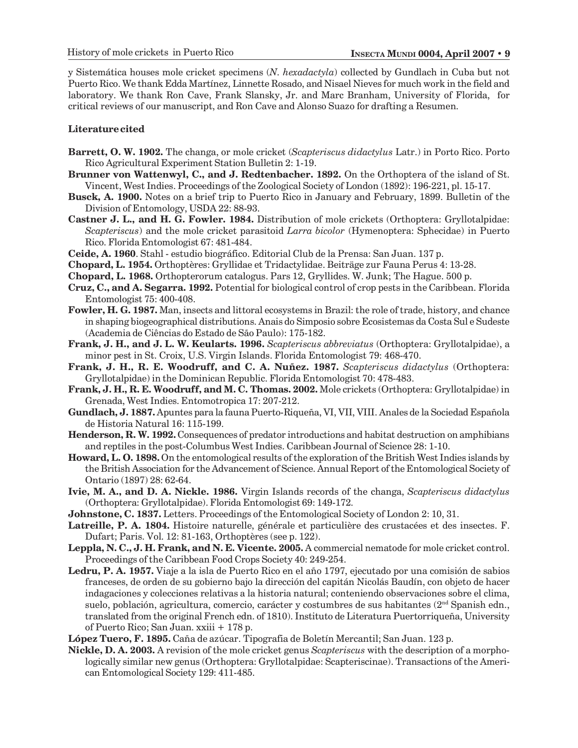y Sistemática houses mole cricket specimens (*N. hexadactyla*) collected by Gundlach in Cuba but not Puerto Rico. We thank Edda Martínez, Linnette Rosado, and Nisael Nieves for much work in the field and laboratory. We thank Ron Cave, Frank Slansky, Jr. and Marc Branham, University of Florida, for critical reviews of our manuscript, and Ron Cave and Alonso Suazo for drafting a Resumen.

#### **Literature cited**

- **Barrett, O. W. 1902.** The changa, or mole cricket (*Scapteriscus didactylus* Latr.) in Porto Rico. Porto Rico Agricultural Experiment Station Bulletin 2: 1-19.
- **Brunner von Wattenwyl, C., and J. Redtenbacher. 1892.** On the Orthoptera of the island of St. Vincent, West Indies. Proceedings of the Zoological Society of London (1892): 196-221, pl. 15-17.
- **Busck, A. 1900.** Notes on a brief trip to Puerto Rico in January and February, 1899. Bulletin of the Division of Entomology, USDA 22: 88-93.
- **Castner J. L., and H. G. Fowler. 1984.** Distribution of mole crickets (Orthoptera: Gryllotalpidae: *Scapteriscus*) and the mole cricket parasitoid *Larra bicolor* (Hymenoptera: Sphecidae) in Puerto Rico. Florida Entomologist 67: 481-484.
- **Ceide, A. 1960**. Stahl estudio biográfico. Editorial Club de la Prensa: San Juan. 137 p.
- **Chopard, L. 1954.** Orthoptères: Gryllidae et Tridactylidae. Beiträge zur Fauna Perus 4: 13-28.
- **Chopard, L. 1968.** Orthopterorum catalogus. Pars 12, Gryllides. W. Junk; The Hague. 500 p.
- **Cruz, C., and A. Segarra. 1992.** Potential for biological control of crop pests in the Caribbean. Florida Entomologist 75: 400-408.
- **Fowler, H. G. 1987.** Man, insects and littoral ecosystems in Brazil: the role of trade, history, and chance in shaping biogeographical distributions. Anais do Simposio sobre Ecosistemas da Costa Sul e Sudeste (Academia de Ciências do Estado de São Paulo): 175-182.
- **Frank, J. H., and J. L. W. Keularts. 1996.** *Scapteriscus abbreviatus* (Orthoptera: Gryllotalpidae), a minor pest in St. Croix, U.S. Virgin Islands. Florida Entomologist 79: 468-470.
- **Frank, J. H., R. E. Woodruff, and C. A. Nuñez. 1987.** *Scapteriscus didactylus* (Orthoptera: Gryllotalpidae) in the Dominican Republic. Florida Entomologist 70: 478-483.
- **Frank, J. H., R. E. Woodruff, and M. C. Thomas. 2002.** Mole crickets (Orthoptera: Gryllotalpidae) in Grenada, West Indies. Entomotropica 17: 207-212.
- **Gundlach, J. 1887.** Apuntes para la fauna Puerto-Riqueña, VI, VII, VIII. Anales de la Sociedad Española de Historia Natural 16: 115-199.
- **Henderson, R. W. 1992.** Consequences of predator introductions and habitat destruction on amphibians and reptiles in the post-Columbus West Indies. Caribbean Journal of Science 28: 1-10.
- **Howard, L. O. 1898.** On the entomological results of the exploration of the British West Indies islands by the British Association for the Advancement of Science. Annual Report of the Entomological Society of Ontario (1897) 28: 62-64.
- **Ivie, M. A., and D. A. Nickle. 1986.** Virgin Islands records of the changa, *Scapteriscus didactylus* (Orthoptera: Gryllotalpidae). Florida Entomologist 69: 149-172.
- **Johnstone, C. 1837.** Letters. Proceedings of the Entomological Society of London 2: 10, 31.
- **Latreille, P. A. 1804.** Histoire naturelle, générale et particulière des crustacées et des insectes. F. Dufart; Paris. Vol. 12: 81-163, Orthoptères (see p. 122).
- **Leppla, N. C., J. H. Frank, and N. E. Vicente. 2005.** A commercial nematode for mole cricket control. Proceedings of the Caribbean Food Crops Society 40: 249-254.
- **Ledru, P. A. 1957.** Viaje a la isla de Puerto Rico en el año 1797, ejecutado por una comisión de sabios franceses, de orden de su gobierno bajo la dirección del capitán Nicolás Baudín, con objeto de hacer indagaciones y colecciones relativas a la historia natural; conteniendo observaciones sobre el clima, suelo, población, agricultura, comercio, carácter y costumbres de sus habitantes (2nd Spanish edn., translated from the original French edn. of 1810). Instituto de Literatura Puertorriqueña, University of Puerto Rico; San Juan. xxiii + 178 p.
- **López Tuero, F. 1895.** Caña de azúcar. Tipografia de Boletín Mercantil; San Juan. 123 p.
- **Nickle, D. A. 2003.** A revision of the mole cricket genus *Scapteriscus* with the description of a morphologically similar new genus (Orthoptera: Gryllotalpidae: Scapteriscinae). Transactions of the American Entomological Society 129: 411-485.